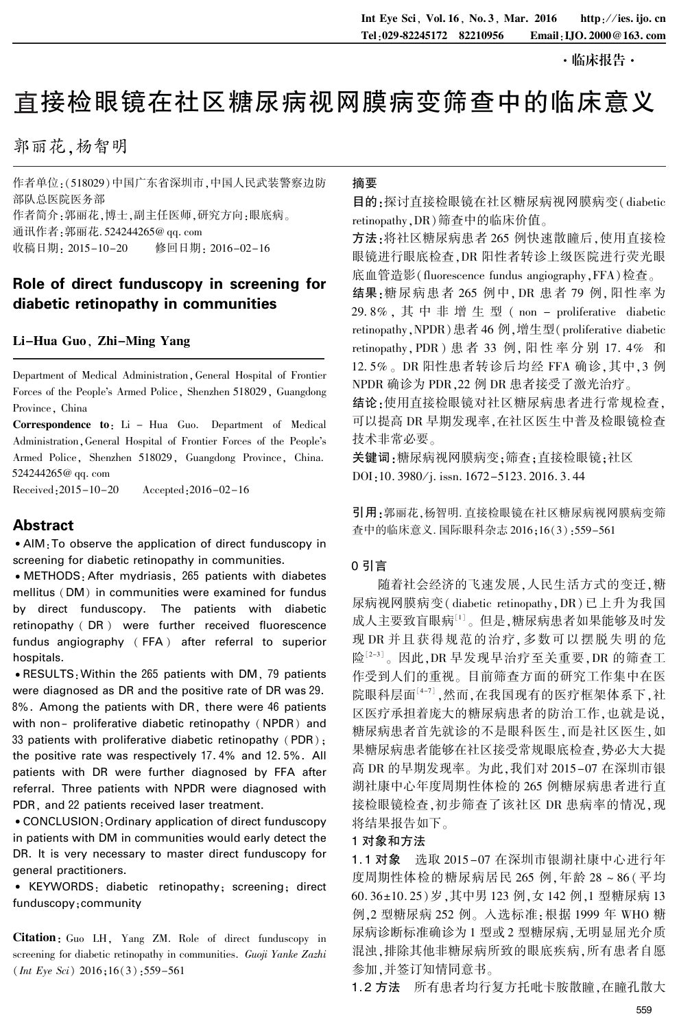·临床报告·

# 直接检眼镜在社区糖尿病视网膜病变筛查中的临床意义

郭丽花,杨智明

作者单位:(518029)中国广东省深圳市,中国人民武装警察边防 部队总医院医务部 作者简介:郭丽花,博士,副主任医师,研究方向:眼底病。 通讯作者:郭丽花. 524244265@ qq. com 收稿日期: 2015-10-20 修回日期: 2016-02-16

## Role of direct funduscopy in screening for diabetic retinopathy in communities

## Li-Hua Guo, Zhi-Ming Yang

Department of Medical Administration,General Hospital of Frontier Forces of the People's Armed Police, Shenzhen 518029, Guangdong Province, China

Correspondence to: Li - Hua Guo. Department of Medical Administration, General Hospital of Frontier Forces of the People's Armed Police, Shenzhen 518029, Guangdong Province, China. 524244265@ qq. com

Received:2015-10-20 Accepted:2016-02-16

## Abstract

• AIM: To observe the application of direct funduscopy in screening for diabetic retinopathy in communities.

<sup>誗</sup>METHODS:After mydriasis, 265 patients with diabetes mellitus (DM) in communities were examined for fundus by direct funduscopy. The patients with diabetic retinopathy ( DR ) were further received fluorescence fundus angiography ( FFA ) after referral to superior hospitals.

<sup>誗</sup>RESULTS:Within the 265 patients with DM, 79 patients were diagnosed as DR and the positive rate of DR was 29. 8%. Among the patients with DR, there were 46 patients with non- proliferative diabetic retinopathy (NPDR) and 33 patients with proliferative diabetic retinopathy (PDR); the positive rate was respectively 17. 4% and 12. 5%. All patients with DR were further diagnosed by FFA after referral. Three patients with NPDR were diagnosed with PDR, and 22 patients received laser treatment.

<sup>誗</sup>CONCLUSION:Ordinary application of direct funduscopy in patients with DM in communities would early detect the DR. It is very necessary to master direct funduscopy for general practitioners.

<sup>誗</sup> KEYWORDS: diabetic retinopathy; screening; direct funduscopy;community

Citation: Guo LH, Yang ZM. Role of direct funduscopy in screening for diabetic retinopathy in communities. Guoji Yanke Zazhi  $(Int Eye Sci) 2016;16(3);559-561$ 

#### 摘要

目的:探讨直接检眼镜在社区糖尿病视网膜病变( diabetic retinopathy,DR)筛查中的临床价值。

方法:将社区糖尿病患者 265 例快速散瞳后,使用直接检 眼镜进行眼底检查,DR 阳性者转诊上级医院进行荧光眼 底血管造影(fluorescence fundus angiography,FFA)检查。

结果:糖尿病患者 265 例中,DR 患者 79 例,阳性率为 29.8%, 其中非增生型 (non - proliferative diabetic retinopathy,NPDR)患者 46 例,增生型(proliferative diabetic retinopathy,PDR) 患 者 33 例, 阳 性 率 分 别 17. 4% 和 12.5%。DR 阳性患者转诊后均经 FFA 确诊,其中,3 例 NPDR 确诊为 PDR,22 例 DR 患者接受了激光治疗。

结论:使用直接检眼镜对社区糖尿病患者进行常规检查, 可以提高 DR 早期发现率,在社区医生中普及检眼镜检查 技术非常必要。

关键词:糖尿病视网膜病变;筛查;直接检眼镜;社区 DOI:10. 3980/j. issn. 1672-5123. 2016. 3. 44

引用:郭丽花,杨智明. 直接检眼镜在社区糖尿病视网膜病变筛 查中的临床意义. 国际眼科杂志 2016;16(3):559-561

#### 0 引言

随着社会经济的飞速发展,人民生活方式的变迁,糖 尿病视网膜病变( diabetic retinopathy,DR) 已上升为我国 成人主要致盲眼病<sup>[1]</sup>。但是,糖尿病患者如果能够及时发 现 DR 并且获得规范的治疗,多数可以摆脱失明的危 险[2-3]。因此,DR 早发现早治疗至关重要,DR 的筛查工 作受到人们的重视。 目前筛查方面的研究工作集中在医 院眼科层面<sup>[4-7]</sup> ,然而,在我国现有的医疗框架体系下,社 区医疗承担着庞大的糖尿病患者的防治工作,也就是说, 糖尿病患者首先就诊的不是眼科医生,而是社区医生,如 果糖尿病患者能够在社区接受常规眼底检查,势必大大提 高 DR 的早期发现率。 为此,我们对 2015-07 在深圳市银 湖社康中心年度周期性体检的 265 例糖尿病患者进行直 接检眼镜检查,初步筛查了该社区 DR 患病率的情况,现 将结果报告如下。

#### 1 对象和方法

1. 1 对象 选取 2015-07 在深圳市银湖社康中心进行年 度周期性体检的糖尿病居民 265 例,年龄 28 ~ 86 (平均 60. 36±10. 25) 岁, 其中男 123 例, 女 142 例, 1 型糖尿病 13 例,2 型糖尿病 252 例。 入选标准:根据 1999 年 WHO 糖 尿病诊断标准确诊为 1 型或 2 型糖尿病,无明显屈光介质 混浊,排除其他非糖尿病所致的眼底疾病,所有患者自愿 参加,并签订知情同意书。

1.2 方法 所有患者均行复方托吡卡胺散瞳,在瞳孔散大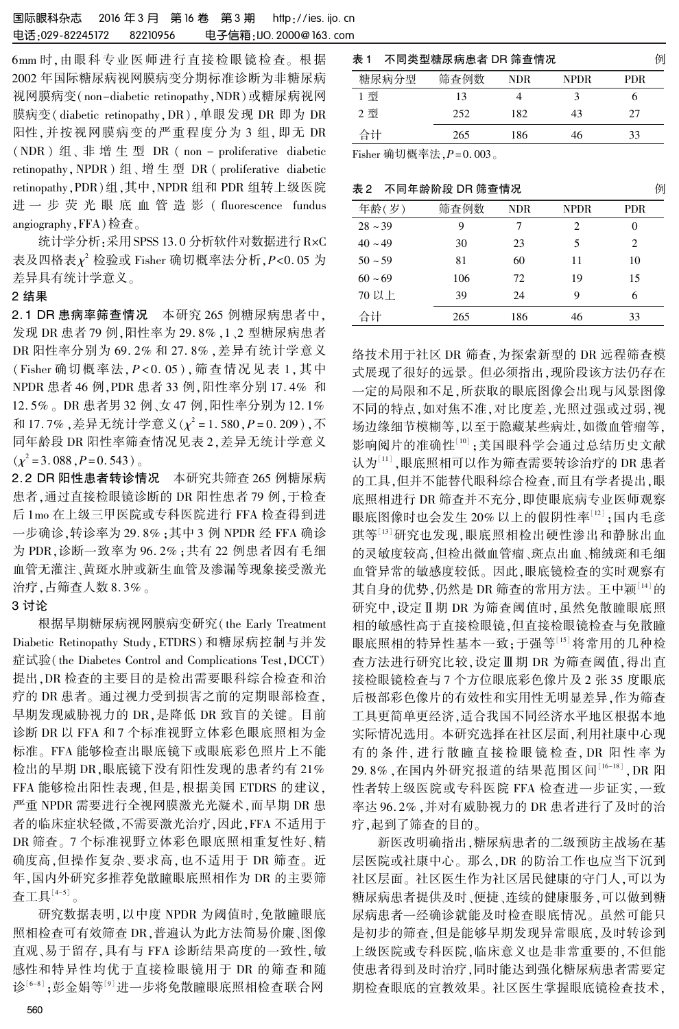6mm 时,由眼科专业医师进行直接检眼镜检查。 根据 2002 年国际糖尿病视网膜病变分期标准诊断为非糖尿病 视网膜病变(non-diabetic retinopathy,NDR)或糖尿病视网 膜病变( diabetic retinopathy,DR),单眼发现 DR 即为 DR 阳性,并按视网膜病变的严重程度分为 3 组,即无 DR (NDR ) 组、 非 增 生 型 DR ( non - proliferative diabetic retinopathy,NPDR) 组、 增 生 型 DR ( proliferative diabetic retinopathy,PDR)组,其中,NPDR 组和 PDR 组转上级医院 进 一 步 荧 光 眼 底 血 管 造 影 ( fluorescence fundus angiography,FFA)检查。

统计学分析:采用 SPSS 13.0 分析软件对数据进行 RxC 表及四格表 $\chi^2$  检验或 Fisher 确切概率法分析, P<0.05 为 差异具有统计学意义。

## 2 结果

2. 1 DR 患病率筛查情况 本研究 265 例糖尿病患者中, 发现 DR 患者 79 例,阳性率为 29. 8% ,1、2 型糖尿病患者 DR 阳性率分别为 69. 2% 和 27. 8% ,差异有统计学意义 (Fisher 确切概率法,P < 0. 05 ),筛查情况见表 1,其中 NPDR 患者 46 例,PDR 患者 33 例,阳性率分别 17. 4% 和 12. 5% 。 DR 患者男 32 例、女 47 例,阳性率分别为 12. 1% 和 17.7% ,差异无统计学意义( $\chi^2$  = 1.580, $P$  = 0.209),不 同年龄段 DR 阳性率筛查情况见表 2,差异无统计学意义  $(\chi^2 = 3.088, P = 0.543)$ 

2. 2 DR 阳性患者转诊情况 本研究共筛查 265 例糖尿病 患者,通过直接检眼镜诊断的 DR 阳性患者 79 例,于检查 后 1mo 在上级三甲医院或专科医院进行 FFA 检查得到进 一步确诊,转诊率为 29. 8% ;其中 3 例 NPDR 经 FFA 确诊 为 PDR,诊断一致率为 96. 2% ;共有 22 例患者因有毛细 血管无灌注、黄斑水肿或新生血管及渗漏等现象接受激光 治疗,占筛查人数 8. 3% 。

#### 3 讨论

根据早期糖尿病视网膜病变研究( the Early Treatment Diabetic Retinopathy Study,ETDRS) 和糖尿病控制与并发 症试验(the Diabetes Control and Complications Test,DCCT) 提出,DR 检查的主要目的是检出需要眼科综合检查和治 疗的 DR 患者。 通过视力受到损害之前的定期眼部检查, 早期发现威胁视力的 DR,是降低 DR 致盲的关键。 目前 诊断 DR 以 FFA 和 7 个标准视野立体彩色眼底照相为金 标准。 FFA 能够检查出眼底镜下或眼底彩色照片上不能 检出的早期 DR,眼底镜下没有阳性发现的患者约有 21% FFA 能够检出阳性表现,但是,根据美国 ETDRS 的建议, 严重 NPDR 需要进行全视网膜激光光凝术,而早期 DR 患 者的临床症状轻微,不需要激光治疗,因此,FFA 不适用于 DR 筛查。 7 个标准视野立体彩色眼底照相重复性好、精 确度高,但操作复杂、要求高,也不适用于 DR 筛查。 近 年,国内外研究多推荐免散瞳眼底照相作为 DR 的主要筛 查工具 $\left| \frac{4-5}{5} \right|$ 。

研究数据表明,以中度 NPDR 为阈值时,免散瞳眼底 照相检查可有效筛查 DR,普遍认为此方法简易价廉、图像 直观、易于留存,具有与 FFA 诊断结果高度的一致性,敏 感性和特异性均优于直接检眼镜用于 DR 的筛查和随 诊[6-8] ;彭金娟等[<sup>9]</sup>进一步将免散瞳眼底照相检查联合网

| 表 1<br>不同类型糖尿病患者 DR 筛查情况 | 例    |      |      |            |
|--------------------------|------|------|------|------------|
| 糖尿病分型                    | 筛杳例数 | NDR. | NPDR | <b>PDR</b> |
| 1 型                      | 13   |      |      |            |
| 2型                       | 252  | 182  | 43   | 27         |
| 合计                       | 265  | 186  | 46   | 33         |

Fisher 确切概率法, $P = 0.003$ 。

|  | 表 2 不同年龄阶段 DR 筛查情况 |  |
|--|--------------------|--|
|--|--------------------|--|

| 年龄(岁)        | 筛查例数 | <b>NDR</b> | <b>NPDR</b> | <b>PDR</b> |
|--------------|------|------------|-------------|------------|
| $28 \sim 39$ | 9    | 7          | 2           | $_{0}$     |
| $40 \sim 49$ | 30   | 23         | 5           | 2          |
| $50 - 59$    | 81   | 60         | 11          | 10         |
| $60 - 69$    | 106  | 72         | 19          | 15         |
| 70 以上        | 39   | 24         | 9           | 6          |
| 合计           | 265  | 186        | 46          | 33         |

络技术用于社区 DR 筛查,为探索新型的 DR 远程筛查模 式展现了很好的远景。 但必须指出,现阶段该方法仍存在 一定的局限和不足,所获取的眼底图像会出现与风景图像 不同的特点,如对焦不准,对比度差,光照过强或过弱,视 场边缘细节模糊等,以至于隐藏某些病灶,如微血管瘤等, 影响阅片的准确性'''';美国眼科学会通过总结历史文献 认为'''' ,眼底照相可以作为筛查需要转诊治疗的 DR 患者 的工具,但并不能替代眼科综合检查,而且有学者提出,眼 底照相进行 DR 筛查并不充分,即使眼底病专业医师观察 眼底图像时也会发生 20% 以上的假阴性率<sup>[12]</sup> ;国内毛彦 琪等[13]研究也发现,眼底照相检出硬性渗出和静脉出血 的灵敏度较高,但检出微血管瘤、斑点出血、棉绒斑和毛细 血管异常的敏感度较低。 因此,眼底镜检查的实时观察有 其自身的优势,仍然是 DR 筛查的常用方法。王中颖[14]的 研究中,设定Ⅱ期 DR 为筛查阈值时,虽然免散瞳眼底照 相的敏感性高于直接检眼镜,但直接检眼镜检查与免散瞳 眼底照相的特异性基本一致;于强等[15] 将常用的几种检 查方法进行研究比较, 设定Ⅲ期 DR 为筛查阈值, 得出直 接检眼镜检查与 7 个方位眼底彩色像片及 2 张 35 度眼底 后极部彩色像片的有效性和实用性无明显差异,作为筛查 工具更简单更经济,适合我国不同经济水平地区根据本地 实际情况选用。 本研究选择在社区层面,利用社康中心现 有的 条 件, 进 行 散 瞳 直 接 检 眼 镜 检 查, DR 阳 性 率 为 29.8% ,在国内外研究报道的结果范围区间<sup>[16-18]</sup> , DR 阳 性者转上级医院或专科医院 FFA 检查进一步证实,一致 率达 96. 2% ,并对有威胁视力的 DR 患者进行了及时的治 疗,起到了筛查的目的。

新医改明确指出,糖尿病患者的二级预防主战场在基 层医院或社康中心。 那么,DR 的防治工作也应当下沉到 社区层面。 社区医生作为社区居民健康的守门人,可以为 糖尿病患者提供及时、便捷、连续的健康服务,可以做到糖 尿病患者一经确诊就能及时检查眼底情况。 虽然可能只 是初步的筛查,但是能够早期发现异常眼底,及时转诊到 上级医院或专科医院,临床意义也是非常重要的,不但能 使患者得到及时治疗,同时能达到强化糖尿病患者需要定 期检查眼底的宣教效果。 社区医生掌握眼底镜检查技术,